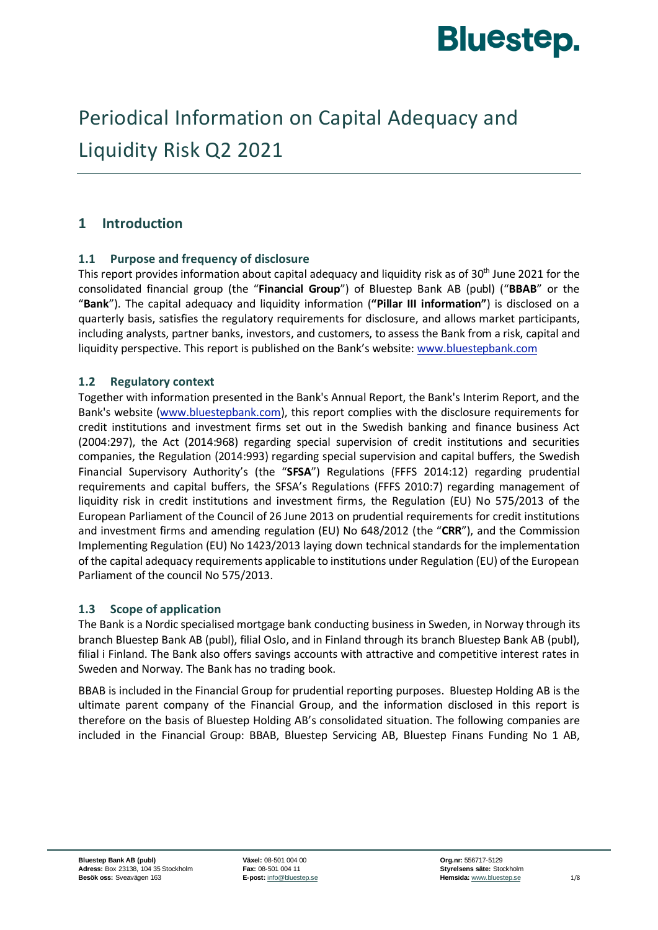

# Periodical Information on Capital Adequacy and Liquidity Risk Q2 2021

## **1 Introduction**

#### **1.1 Purpose and frequency of disclosure**

This report provides information about capital adequacy and liquidity risk as of 30<sup>th</sup> June 2021 for the consolidated financial group (the "**Financial Group**") of Bluestep Bank AB (publ) ("**BBAB**" or the "**Bank**"). The capital adequacy and liquidity information (**"Pillar III information"**) is disclosed on a quarterly basis, satisfies the regulatory requirements for disclosure, and allows market participants, including analysts, partner banks, investors, and customers, to assess the Bank from a risk, capital and liquidity perspective. This report is published on the Bank's website: [www.bluestepbank.com](http://www.bluestepbank.com/)

#### **1.2 Regulatory context**

Together with information presented in the Bank's Annual Report, the Bank's Interim Report, and the Bank's website [\(www.bluestepbank.com\)](http://www.bluestepbank.com/), this report complies with the disclosure requirements for credit institutions and investment firms set out in the Swedish banking and finance business Act (2004:297), the Act (2014:968) regarding special supervision of credit institutions and securities companies, the Regulation (2014:993) regarding special supervision and capital buffers, the Swedish Financial Supervisory Authority's (the "**SFSA**") Regulations (FFFS 2014:12) regarding prudential requirements and capital buffers, the SFSA's Regulations (FFFS 2010:7) regarding management of liquidity risk in credit institutions and investment firms, the Regulation (EU) No 575/2013 of the European Parliament of the Council of 26 June 2013 on prudential requirements for credit institutions and investment firms and amending regulation (EU) No 648/2012 (the "**CRR**"), and the Commission Implementing Regulation (EU) No 1423/2013 laying down technical standards for the implementation of the capital adequacy requirements applicable to institutions under Regulation (EU) of the European Parliament of the council No 575/2013.

#### **1.3 Scope of application**

The Bank is a Nordic specialised mortgage bank conducting business in Sweden, in Norway through its branch Bluestep Bank AB (publ), filial Oslo, and in Finland through its branch Bluestep Bank AB (publ), filial i Finland. The Bank also offers savings accounts with attractive and competitive interest rates in Sweden and Norway. The Bank has no trading book.

BBAB is included in the Financial Group for prudential reporting purposes. Bluestep Holding AB is the ultimate parent company of the Financial Group, and the information disclosed in this report is therefore on the basis of Bluestep Holding AB's consolidated situation. The following companies are included in the Financial Group: BBAB, Bluestep Servicing AB, Bluestep Finans Funding No 1 AB,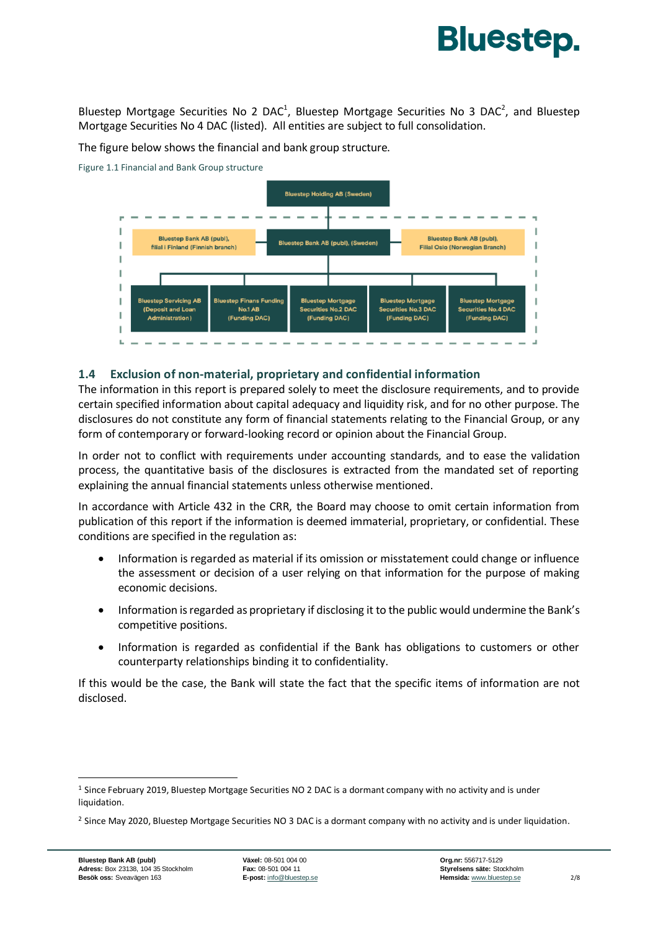# **Bluestep.**

Bluestep Mortgage Securities No 2 DAC<sup>1</sup>, Bluestep Mortgage Securities No 3 DAC<sup>2</sup>, and Bluestep Mortgage Securities No 4 DAC (listed). All entities are subject to full consolidation.

The figure below shows the financial and bank group structure.

Figure 1.1 Financial and Bank Group structure



#### **1.4 Exclusion of non-material, proprietary and confidential information**

The information in this report is prepared solely to meet the disclosure requirements, and to provide certain specified information about capital adequacy and liquidity risk, and for no other purpose. The disclosures do not constitute any form of financial statements relating to the Financial Group, or any form of contemporary or forward-looking record or opinion about the Financial Group.

In order not to conflict with requirements under accounting standards, and to ease the validation process, the quantitative basis of the disclosures is extracted from the mandated set of reporting explaining the annual financial statements unless otherwise mentioned.

In accordance with Article 432 in the CRR, the Board may choose to omit certain information from publication of this report if the information is deemed immaterial, proprietary, or confidential. These conditions are specified in the regulation as:

- Information is regarded as material if its omission or misstatement could change or influence the assessment or decision of a user relying on that information for the purpose of making economic decisions.
- Information is regarded as proprietary if disclosing it to the public would undermine the Bank's competitive positions.
- Information is regarded as confidential if the Bank has obligations to customers or other counterparty relationships binding it to confidentiality.

If this would be the case, the Bank will state the fact that the specific items of information are not disclosed.

<sup>1</sup> Since February 2019, Bluestep Mortgage Securities NO 2 DAC is a dormant company with no activity and is under liquidation.

<sup>&</sup>lt;sup>2</sup> Since May 2020, Bluestep Mortgage Securities NO 3 DAC is a dormant company with no activity and is under liquidation.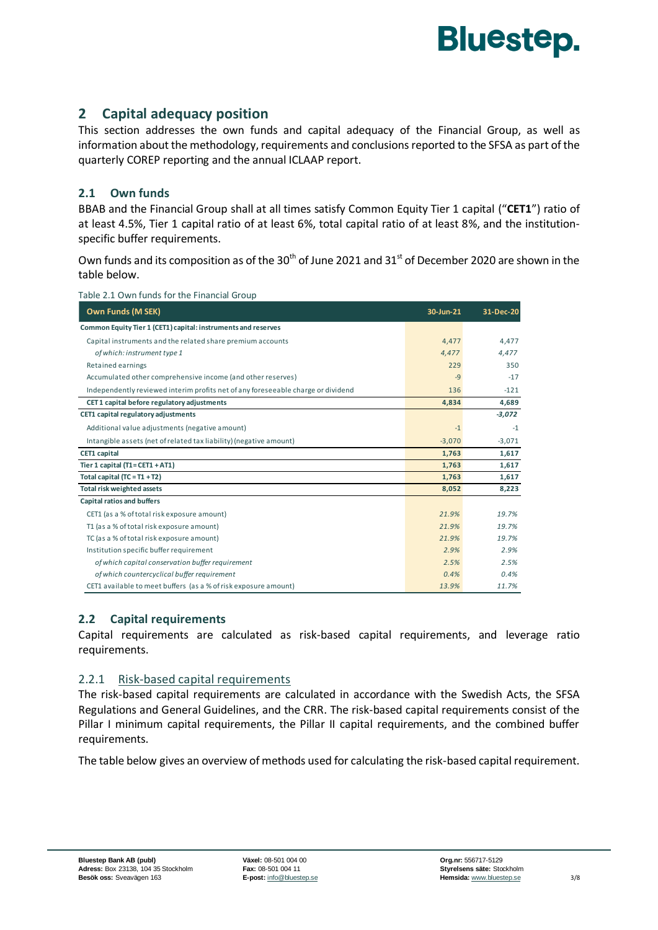

## **2 Capital adequacy position**

This section addresses the own funds and capital adequacy of the Financial Group, as well as information about the methodology, requirements and conclusions reported to the SFSA as part of the quarterly COREP reporting and the annual ICLAAP report.

#### **2.1 Own funds**

BBAB and the Financial Group shall at all times satisfy Common Equity Tier 1 capital ("**CET1**") ratio of at least 4.5%, Tier 1 capital ratio of at least 6%, total capital ratio of at least 8%, and the institutionspecific buffer requirements.

Own funds and its composition as of the 30<sup>th</sup> of June 2021 and 31<sup>st</sup> of December 2020 are shown in the table below.

|  | Table 2.1 Own funds for the Financial Group |  |  |  |
|--|---------------------------------------------|--|--|--|
|--|---------------------------------------------|--|--|--|

| Own Funds (M SEK)                                                                | 30-Jun-21 | 31-Dec-20 |
|----------------------------------------------------------------------------------|-----------|-----------|
| Common Equity Tier 1 (CET1) capital: instruments and reserves                    |           |           |
| Capital instruments and the related share premium accounts                       | 4,477     | 4,477     |
| of which: instrument type 1                                                      | 4,477     | 4,477     |
| Retained earnings                                                                | 229       | 350       |
| Accumulated other comprehensive income (and other reserves)                      | $-9$      | $-17$     |
| Independently reviewed interim profits net of any foreseeable charge or dividend | 136       | $-121$    |
| CET1 capital before regulatory adjustments                                       | 4,834     | 4,689     |
| CET1 capital regulatory adjustments                                              |           | $-3,072$  |
| Additional value adjustments (negative amount)                                   | $-1$      | $-1$      |
| Intangible assets (net of related tax liability) (negative amount)               | $-3,070$  | $-3,071$  |
| <b>CET1</b> capital                                                              | 1,763     | 1,617     |
| Tier 1 capital $(T1 = CET1 + AT1)$                                               | 1,763     | 1,617     |
| Total capital $(TC = T1 + T2)$                                                   | 1,763     | 1,617     |
| Total risk weighted assets                                                       | 8,052     | 8,223     |
| Capital ratios and buffers                                                       |           |           |
| CET1 (as a % of total risk exposure amount)                                      | 21.9%     | 19.7%     |
| T1 (as a % of total risk exposure amount)                                        | 21.9%     | 19.7%     |
| TC (as a % of total risk exposure amount)                                        | 21.9%     | 19.7%     |
| Institution specific buffer requirement                                          | 2.9%      | 2.9%      |
| of which capital conservation buffer requirement                                 | 2.5%      | 2.5%      |
| of which countercyclical buffer requirement                                      | 0.4%      | 0.4%      |
| CET1 available to meet buffers (as a % of risk exposure amount)                  | 13.9%     | 11.7%     |

#### **2.2 Capital requirements**

Capital requirements are calculated as risk-based capital requirements, and leverage ratio requirements.

#### 2.2.1 Risk-based capital requirements

The risk-based capital requirements are calculated in accordance with the Swedish Acts, the SFSA Regulations and General Guidelines, and the CRR. The risk-based capital requirements consist of the Pillar I minimum capital requirements, the Pillar II capital requirements, and the combined buffer requirements.

The table below gives an overview of methods used for calculating the risk-based capital requirement.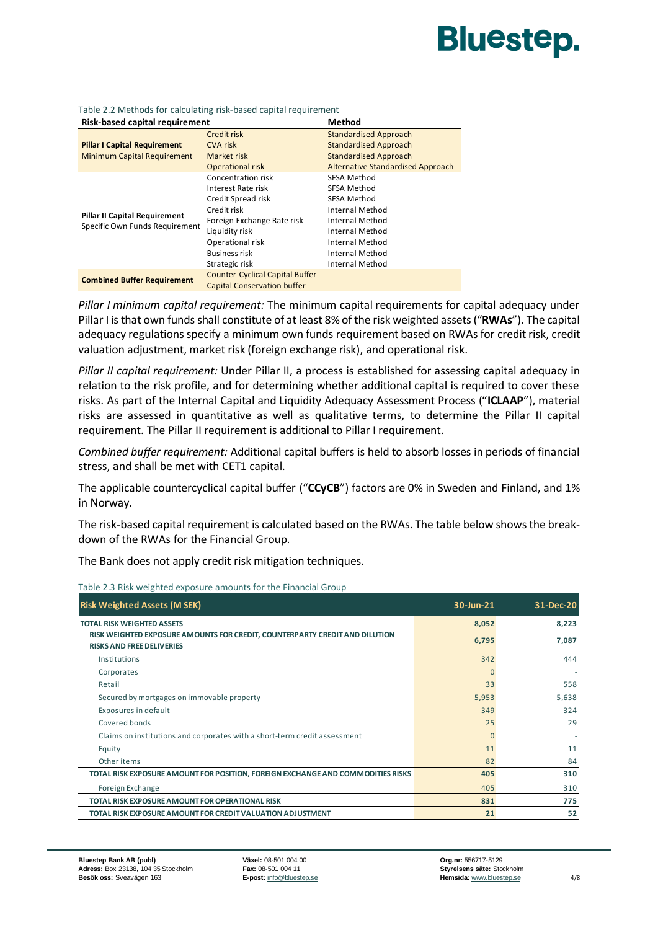# **Bluestep.**

| Risk-based capital requirement       |                                        | <b>Method</b>                            |
|--------------------------------------|----------------------------------------|------------------------------------------|
|                                      | Credit risk                            | <b>Standardised Approach</b>             |
| <b>Pillar I Capital Requirement</b>  | <b>CVA risk</b>                        | <b>Standardised Approach</b>             |
| <b>Minimum Capital Requirement</b>   | Market risk                            | <b>Standardised Approach</b>             |
|                                      | <b>Operational risk</b>                | <b>Alternative Standardised Approach</b> |
|                                      | Concentration risk                     | SFSA Method                              |
|                                      | Interest Rate risk                     | SFSA Method                              |
|                                      | Credit Spread risk                     | SFSA Method                              |
| <b>Pillar II Capital Requirement</b> | Credit risk                            | Internal Method                          |
| Specific Own Funds Requirement       | Foreign Exchange Rate risk             | Internal Method                          |
|                                      | Liquidity risk                         | Internal Method                          |
|                                      | Operational risk                       | Internal Method                          |
|                                      | <b>Business risk</b>                   | Internal Method                          |
|                                      | Strategic risk                         | <b>Internal Method</b>                   |
| <b>Combined Buffer Requirement</b>   | <b>Counter-Cyclical Capital Buffer</b> |                                          |
|                                      | <b>Capital Conservation buffer</b>     |                                          |

Table 2.2 Methods for calculating risk-based capital requirement

*Pillar I minimum capital requirement:* The minimum capital requirements for capital adequacy under Pillar I is that own funds shall constitute of at least 8% of the risk weighted assets ("**RWAs**"). The capital adequacy regulations specify a minimum own funds requirement based on RWAs for credit risk, credit valuation adjustment, market risk (foreign exchange risk), and operational risk.

*Pillar II capital requirement:* Under Pillar II, a process is established for assessing capital adequacy in relation to the risk profile, and for determining whether additional capital is required to cover these risks. As part of the Internal Capital and Liquidity Adequacy Assessment Process ("**ICLAAP**"), material risks are assessed in quantitative as well as qualitative terms, to determine the Pillar II capital requirement. The Pillar II requirement is additional to Pillar I requirement.

*Combined buffer requirement:* Additional capital buffers is held to absorb losses in periods of financial stress, and shall be met with CET1 capital.

The applicable countercyclical capital buffer ("**CCyCB**") factors are 0% in Sweden and Finland, and 1% in Norway.

The risk-based capital requirement is calculated based on the RWAs. The table below shows the breakdown of the RWAs for the Financial Group.

The Bank does not apply credit risk mitigation techniques.

| <b>Risk Weighted Assets (M SEK)</b>                                                                             | 30-Jun-21 | 31-Dec-20 |
|-----------------------------------------------------------------------------------------------------------------|-----------|-----------|
| <b>TOTAL RISK WEIGHTED ASSETS</b>                                                                               | 8,052     | 8,223     |
| RISK WEIGHTED EXPOSURE AMOUNTS FOR CREDIT, COUNTERPARTY CREDIT AND DILUTION<br><b>RISKS AND FREE DELIVERIES</b> | 6,795     | 7,087     |
| Institutions                                                                                                    | 342       | 444       |
| Corporates                                                                                                      | $\Omega$  |           |
| Retail                                                                                                          | 33        | 558       |
| Secured by mortgages on immovable property                                                                      | 5,953     | 5,638     |
| Exposures in default                                                                                            | 349       | 324       |
| Covered bonds                                                                                                   | 25        | 29        |
| Claims on institutions and corporates with a short-term credit assessment                                       | $\Omega$  |           |
| Equity                                                                                                          | 11        | 11        |
| Other items                                                                                                     | 82        | 84        |
| TOTAL RISK EXPOSURE AMOUNT FOR POSITION, FOREIGN EXCHANGE AND COMMODITIES RISKS                                 | 405       | 310       |
| Foreign Exchange                                                                                                | 405       | 310       |
| TOTAL RISK EXPOSURE AMOUNT FOR OPERATIONAL RISK                                                                 | 831       | 775       |
| TOTAL RISK EXPOSURE AMOUNT FOR CREDIT VALUATION ADJUSTMENT                                                      | 21        | 52        |

Table 2.3 Risk weighted exposure amounts for the Financial Group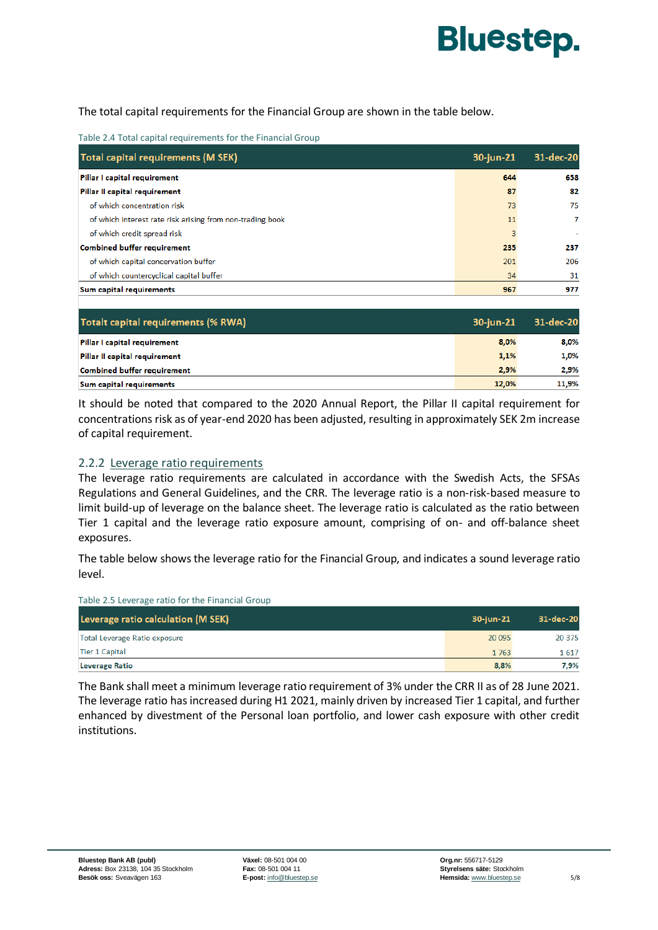

The total capital requirements for the Financial Group are shown in the table below.

| Table 2.4 Total capital requirements for the Financial Group |  |
|--------------------------------------------------------------|--|
|--------------------------------------------------------------|--|

| Total capital requirements (M SEK)                        | 30-jun-21 | 31-dec-20 |
|-----------------------------------------------------------|-----------|-----------|
| Pillar I capital requirement                              | 644       | 658       |
| Pillar II capital requirement                             | 87        | 82        |
| of which concentration risk                               | 73        | 75        |
| of which interest rate risk arising from non-trading book | 11        | 7         |
| of which credit spread risk                               | 3         |           |
| <b>Combined buffer requirement</b>                        | 235       | 237       |
| of which capital concervation buffer                      | 201       | 206       |
| of which countercyclical capital buffer                   | 34        | 31        |
| Sum capital requirements                                  | 967       | 977       |

| Totalt capital requirements (% RWA) | 30-jun-21 | 31-dec-20 |
|-------------------------------------|-----------|-----------|
| Pillar I capital requirement        | 8,0%      | 8.0%      |
| Pillar II capital requirement       | 1,1%      | 1,0%      |
| <b>Combined buffer requirement</b>  | 2,9%      | 2,9%      |
| Sum capital requirements            | 12,0%     | 11,9%     |

It should be noted that compared to the 2020 Annual Report, the Pillar II capital requirement for concentrations risk as of year-end 2020 has been adjusted, resulting in approximately SEK 2m increase of capital requirement.

#### 2.2.2 Leverage ratio requirements

Table 2.5 Leverage ratio for the Financial Group

The leverage ratio requirements are calculated in accordance with the Swedish Acts, the SFSAs Regulations and General Guidelines, and the CRR. The leverage ratio is a non-risk-based measure to limit build-up of leverage on the balance sheet. The leverage ratio is calculated as the ratio between Tier 1 capital and the leverage ratio exposure amount, comprising of on- and off-balance sheet exposures.

The table below shows the leverage ratio for the Financial Group, and indicates a sound leverage ratio level.

| Leverage ratio calculation (M SEK) | 30-iun-21 | 31-dec-20 |
|------------------------------------|-----------|-----------|
| Total Leverage Ratio exposure      | 20 095    | 20 375    |
| Tier 1 Capital                     | 1763      | 1617      |
| <b>Leverage Ratio</b>              | 8,8%      | 7.9%      |

The Bank shall meet a minimum leverage ratio requirement of 3% under the CRR II as of 28 June 2021. The leverage ratio has increased during H1 2021, mainly driven by increased Tier 1 capital, and further enhanced by divestment of the Personal loan portfolio, and lower cash exposure with other credit institutions.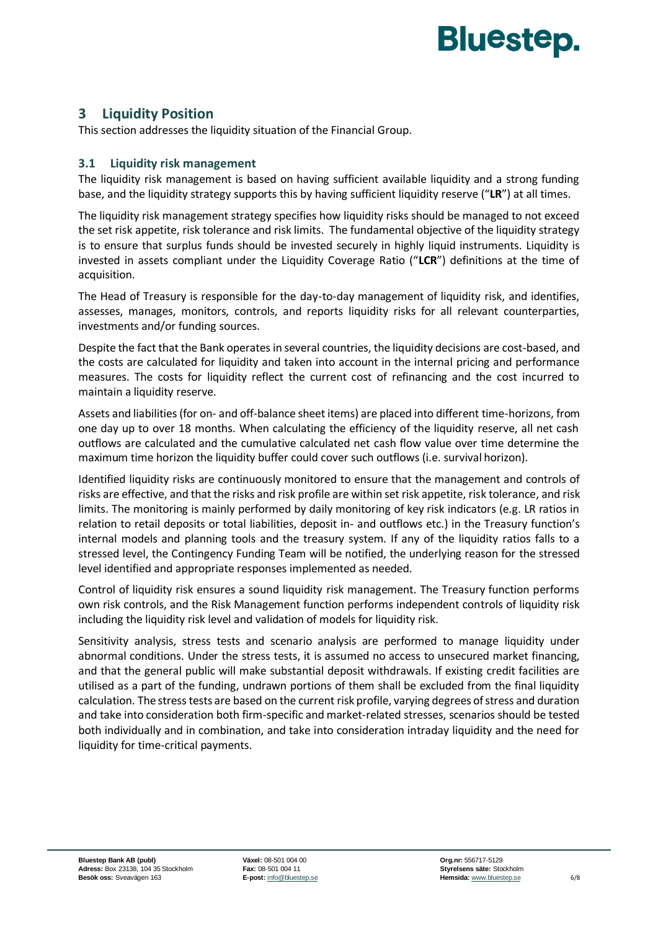

## **3 Liquidity Position**

This section addresses the liquidity situation of the Financial Group.

#### **3.1 Liquidity risk management**

The liquidity risk management is based on having sufficient available liquidity and a strong funding base, and the liquidity strategy supports this by having sufficient liquidity reserve ("**LR**") at all times.

The liquidity risk management strategy specifies how liquidity risks should be managed to not exceed the set risk appetite, risk tolerance and risk limits. The fundamental objective of the liquidity strategy is to ensure that surplus funds should be invested securely in highly liquid instruments. Liquidity is invested in assets compliant under the Liquidity Coverage Ratio ("**LCR**") definitions at the time of acquisition.

The Head of Treasury is responsible for the day-to-day management of liquidity risk, and identifies, assesses, manages, monitors, controls, and reports liquidity risks for all relevant counterparties, investments and/or funding sources.

Despite the fact that the Bank operates in several countries, the liquidity decisions are cost-based, and the costs are calculated for liquidity and taken into account in the internal pricing and performance measures. The costs for liquidity reflect the current cost of refinancing and the cost incurred to maintain a liquidity reserve.

Assets and liabilities (for on- and off-balance sheet items) are placed into different time-horizons, from one day up to over 18 months. When calculating the efficiency of the liquidity reserve, all net cash outflows are calculated and the cumulative calculated net cash flow value over time determine the maximum time horizon the liquidity buffer could cover such outflows (i.e. survival horizon).

Identified liquidity risks are continuously monitored to ensure that the management and controls of risks are effective, and that the risks and risk profile are within set risk appetite, risk tolerance, and risk limits. The monitoring is mainly performed by daily monitoring of key risk indicators (e.g. LR ratios in relation to retail deposits or total liabilities, deposit in- and outflows etc.) in the Treasury function's internal models and planning tools and the treasury system. If any of the liquidity ratios falls to a stressed level, the Contingency Funding Team will be notified, the underlying reason for the stressed level identified and appropriate responses implemented as needed.

Control of liquidity risk ensures a sound liquidity risk management. The Treasury function performs own risk controls, and the Risk Management function performs independent controls of liquidity risk including the liquidity risk level and validation of models for liquidity risk.

Sensitivity analysis, stress tests and scenario analysis are performed to manage liquidity under abnormal conditions. Under the stress tests, it is assumed no access to unsecured market financing, and that the general public will make substantial deposit withdrawals. If existing credit facilities are utilised as a part of the funding, undrawn portions of them shall be excluded from the final liquidity calculation. The stress tests are based on the current risk profile, varying degrees of stress and duration and take into consideration both firm-specific and market-related stresses, scenarios should be tested both individually and in combination, and take into consideration intraday liquidity and the need for liquidity for time-critical payments.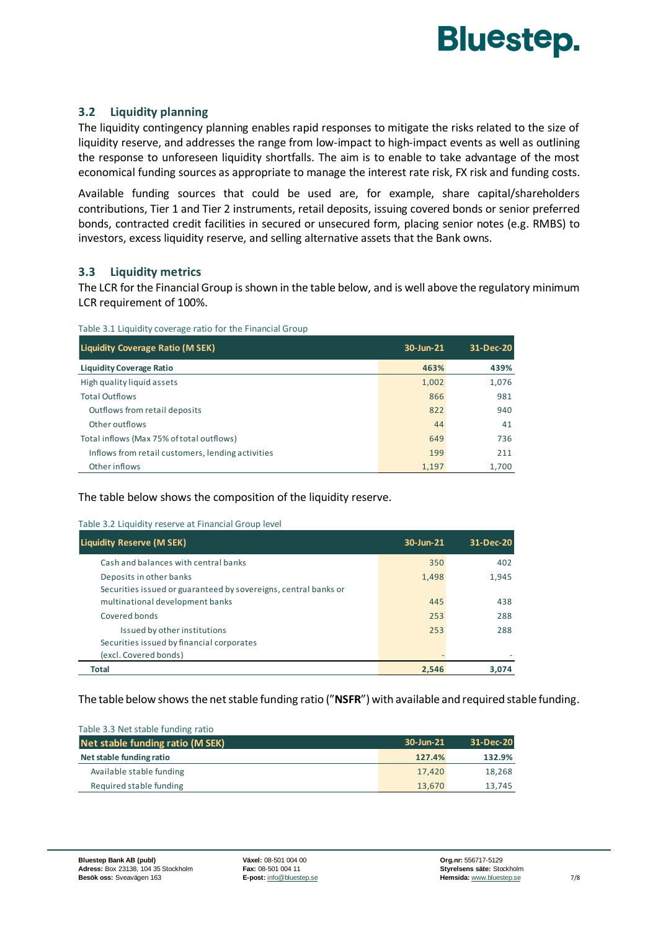

#### **3.2 Liquidity planning**

The liquidity contingency planning enables rapid responses to mitigate the risks related to the size of liquidity reserve, and addresses the range from low-impact to high-impact events as well as outlining the response to unforeseen liquidity shortfalls. The aim is to enable to take advantage of the most economical funding sources as appropriate to manage the interest rate risk, FX risk and funding costs.

Available funding sources that could be used are, for example, share capital/shareholders contributions, Tier 1 and Tier 2 instruments, retail deposits, issuing covered bonds or senior preferred bonds, contracted credit facilities in secured or unsecured form, placing senior notes (e.g. RMBS) to investors, excess liquidity reserve, and selling alternative assets that the Bank owns.

#### **3.3 Liquidity metrics**

The LCR for the Financial Group is shown in the table below, and is well above the regulatory minimum LCR requirement of 100%.

| Liquidity Coverage Ratio (M SEK)                  | 30-Jun-21 | 31-Dec-20 |
|---------------------------------------------------|-----------|-----------|
| <b>Liquidity Coverage Ratio</b>                   | 463%      | 439%      |
| High quality liquid assets                        | 1,002     | 1,076     |
| <b>Total Outflows</b>                             | 866       | 981       |
| Outflows from retail deposits                     | 822       | 940       |
| Other outflows                                    | 44        | 41        |
| Total inflows (Max 75% of total outflows)         | 649       | 736       |
| Inflows from retail customers, lending activities | 199       | 211       |
| Other inflows                                     | 1.197     | 1,700     |

The table below shows the composition of the liquidity reserve.

#### Table 3.2 Liquidity reserve at Financial Group level

| <b>Liquidity Reserve (M SEK)</b>                                                                   | 30-Jun-21 | 31-Dec-20 |
|----------------------------------------------------------------------------------------------------|-----------|-----------|
| Cash and balances with central banks                                                               | 350       | 402       |
| Deposits in other banks                                                                            | 1.498     | 1.945     |
| Securities issued or guaranteed by sovereigns, central banks or<br>multinational development banks | 445       | 438       |
| Covered bonds                                                                                      | 253       | 288       |
| Issued by other institutions                                                                       | 253       | 288       |
| Securities issued by financial corporates                                                          |           |           |
| (excl. Covered bonds)                                                                              |           |           |
| Total                                                                                              | 2.546     | 3.074     |

The table below shows the net stable funding ratio ("**NSFR**") with available and required stable funding.

| Table 3.3 Net stable funding ratio |           |           |
|------------------------------------|-----------|-----------|
| Net stable funding ratio (M SEK)   | 30-Jun-21 | 31-Dec-20 |
| Net stable funding ratio           | 127.4%    | 132.9%    |
| Available stable funding           | 17.420    | 18,268    |
| Required stable funding            | 13.670    | 13,745    |